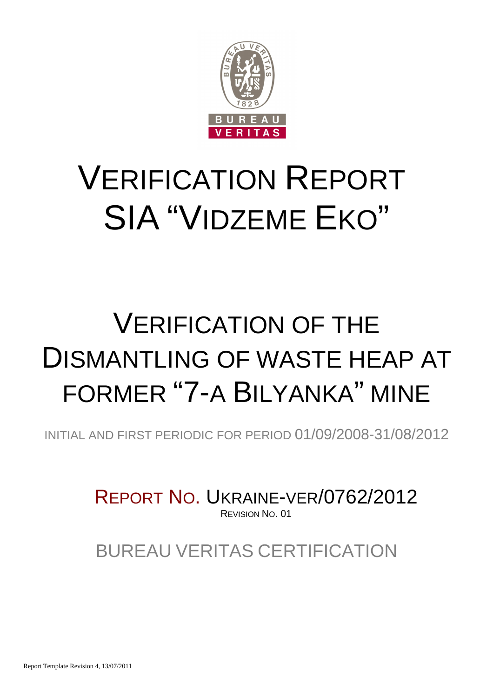

# VERIFICATION REPORT SIA "VIDZEME EKO"

## VERIFICATION OF THE DISMANTLING OF WASTE HEAP AT FORMER "7-A BILYANKA" MINE

INITIAL AND FIRST PERIODIC FOR PERIOD 01/09/2008-31/08/2012

REPORT NO. UKRAINE-VER/0762/2012 REVISION NO. 01

BUREAU VERITAS CERTIFICATION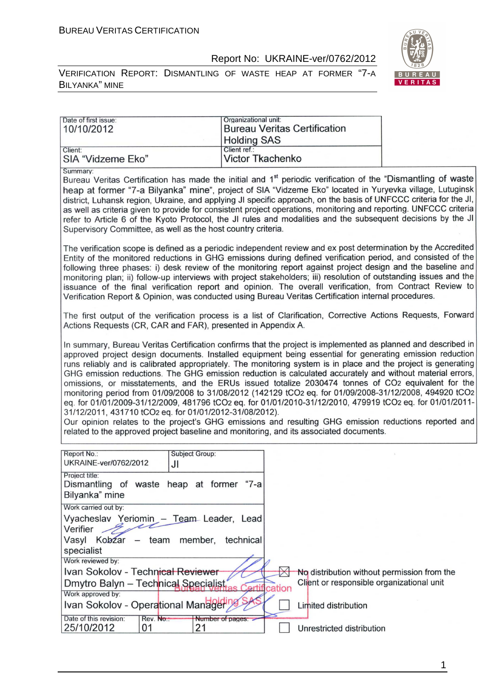VERIFICATION REPORT: DISMANTLING OF WASTE HEAP AT FORMER "7-A BILYANKA" MINE



| Date of first issue:<br>10/10/2012                                                                                                                                                                                                                                                                                                                                                                                                                                                                                                                                                                                                                                                                                                                                                                                                                                                                                                                                                                                                                   | Organizational unit:<br><b>Bureau Veritas Certification</b><br><b>Holding SAS</b>                                                                                                                                                                                                                                                                                                                                                                                                                                                                                                                                                                                                       |                                                                                          |  |
|------------------------------------------------------------------------------------------------------------------------------------------------------------------------------------------------------------------------------------------------------------------------------------------------------------------------------------------------------------------------------------------------------------------------------------------------------------------------------------------------------------------------------------------------------------------------------------------------------------------------------------------------------------------------------------------------------------------------------------------------------------------------------------------------------------------------------------------------------------------------------------------------------------------------------------------------------------------------------------------------------------------------------------------------------|-----------------------------------------------------------------------------------------------------------------------------------------------------------------------------------------------------------------------------------------------------------------------------------------------------------------------------------------------------------------------------------------------------------------------------------------------------------------------------------------------------------------------------------------------------------------------------------------------------------------------------------------------------------------------------------------|------------------------------------------------------------------------------------------|--|
| Client:<br>SIA "Vidzeme Eko"                                                                                                                                                                                                                                                                                                                                                                                                                                                                                                                                                                                                                                                                                                                                                                                                                                                                                                                                                                                                                         | Client ref.:<br><b>Victor Tkachenko</b>                                                                                                                                                                                                                                                                                                                                                                                                                                                                                                                                                                                                                                                 |                                                                                          |  |
| Summary:<br>Bureau Veritas Certification has made the initial and 1 <sup>st</sup> periodic verification of the "Dismantling of waste<br>heap at former "7-a Bilyanka" mine", project of SIA "Vidzeme Eko" located in Yuryevka village, Lutuginsk<br>district, Luhansk region, Ukraine, and applying JI specific approach, on the basis of UNFCCC criteria for the JI,<br>as well as criteria given to provide for consistent project operations, monitoring and reporting. UNFCCC criteria<br>refer to Article 6 of the Kyoto Protocol, the JI rules and modalities and the subsequent decisions by the JI<br>Supervisory Committee, as well as the host country criteria.                                                                                                                                                                                                                                                                                                                                                                           |                                                                                                                                                                                                                                                                                                                                                                                                                                                                                                                                                                                                                                                                                         |                                                                                          |  |
|                                                                                                                                                                                                                                                                                                                                                                                                                                                                                                                                                                                                                                                                                                                                                                                                                                                                                                                                                                                                                                                      | The verification scope is defined as a periodic independent review and ex post determination by the Accredited<br>Entity of the monitored reductions in GHG emissions during defined verification period, and consisted of the<br>following three phases: i) desk review of the monitoring report against project design and the baseline and<br>monitoring plan; ii) follow-up interviews with project stakeholders; iii) resolution of outstanding issues and the<br>issuance of the final verification report and opinion. The overall verification, from Contract Review to<br>Verification Report & Opinion, was conducted using Bureau Veritas Certification internal procedures. |                                                                                          |  |
| The first output of the verification process is a list of Clarification, Corrective Actions Requests, Forward<br>Actions Requests (CR, CAR and FAR), presented in Appendix A.                                                                                                                                                                                                                                                                                                                                                                                                                                                                                                                                                                                                                                                                                                                                                                                                                                                                        |                                                                                                                                                                                                                                                                                                                                                                                                                                                                                                                                                                                                                                                                                         |                                                                                          |  |
| In summary, Bureau Veritas Certification confirms that the project is implemented as planned and described in<br>approved project design documents. Installed equipment being essential for generating emission reduction<br>runs reliably and is calibrated appropriately. The monitoring system is in place and the project is generating<br>GHG emission reductions. The GHG emission reduction is calculated accurately and without material errors,<br>omissions, or misstatements, and the ERUs issued totalize 2030474 tonnes of CO2 equivalent for the<br>monitoring period from 01/09/2008 to 31/08/2012 (142129 tCO2 eq. for 01/09/2008-31/12/2008, 494920 tCO2<br>eq. for 01/01/2009-31/12/2009, 481796 tCO2 eq. for 01/01/2010-31/12/2010, 479919 tCO2 eq. for 01/01/2011-<br>31/12/2011, 431710 tCO2 eq. for 01/01/2012-31/08/2012).<br>Our opinion relates to the project's GHG emissions and resulting GHG emission reductions reported and<br>related to the approved project baseline and monitoring, and its associated documents. |                                                                                                                                                                                                                                                                                                                                                                                                                                                                                                                                                                                                                                                                                         |                                                                                          |  |
| Report No.:<br><b>Subject Group:</b><br>UKRAINE-ver/0762/2012<br>JI                                                                                                                                                                                                                                                                                                                                                                                                                                                                                                                                                                                                                                                                                                                                                                                                                                                                                                                                                                                  |                                                                                                                                                                                                                                                                                                                                                                                                                                                                                                                                                                                                                                                                                         |                                                                                          |  |
| Project title:<br>Dismantling of waste heap at former "7-a<br>Bilyanka" mine                                                                                                                                                                                                                                                                                                                                                                                                                                                                                                                                                                                                                                                                                                                                                                                                                                                                                                                                                                         |                                                                                                                                                                                                                                                                                                                                                                                                                                                                                                                                                                                                                                                                                         |                                                                                          |  |
| Work carried out by:<br>Vyacheslav Yeriomin - Team Leader, Lead<br>Verifier<br>Vasyl<br>Kobzar<br>team<br>member,<br>$\overline{\phantom{m}}$<br>specialist                                                                                                                                                                                                                                                                                                                                                                                                                                                                                                                                                                                                                                                                                                                                                                                                                                                                                          | technical                                                                                                                                                                                                                                                                                                                                                                                                                                                                                                                                                                                                                                                                               |                                                                                          |  |
| Work reviewed by:<br>Ivan Sokolov - Technical Reviewer<br>Dmytro Balyn - Technical Specialist<br>Work approved by:                                                                                                                                                                                                                                                                                                                                                                                                                                                                                                                                                                                                                                                                                                                                                                                                                                                                                                                                   | Certification                                                                                                                                                                                                                                                                                                                                                                                                                                                                                                                                                                                                                                                                           | No distribution without permission from the<br>Client or responsible organizational unit |  |
| Ivan Sokolov - Operational Manager<br>Date of this revision:<br>Rev. No.:<br>Number of pages:<br>25/10/2012<br>01<br>21                                                                                                                                                                                                                                                                                                                                                                                                                                                                                                                                                                                                                                                                                                                                                                                                                                                                                                                              |                                                                                                                                                                                                                                                                                                                                                                                                                                                                                                                                                                                                                                                                                         | Limited distribution<br>Unrestricted distribution                                        |  |

1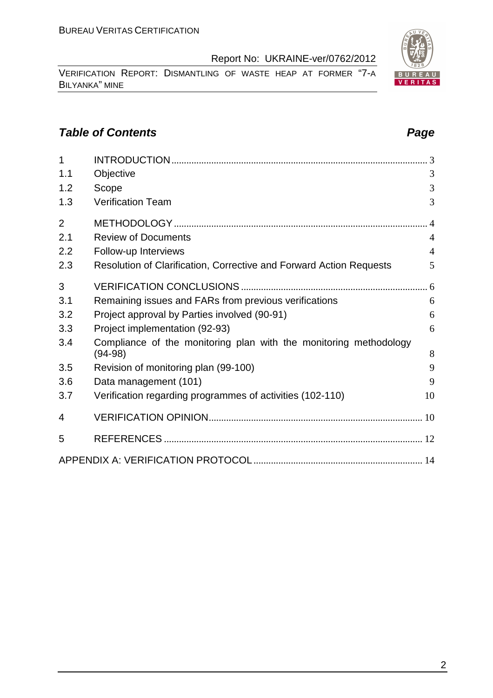VERIFICATION REPORT: DISMANTLING OF WASTE HEAP AT FORMER "7-A BILYANKA" MINE

#### **Table of Contents Page 2018**

| $\overline{1}$ |                                                                                | 3              |
|----------------|--------------------------------------------------------------------------------|----------------|
| 1.1            | Objective                                                                      | 3              |
| 1.2            | Scope                                                                          | 3              |
| 1.3            | <b>Verification Team</b>                                                       | 3              |
| $\overline{2}$ |                                                                                |                |
| 2.1            | <b>Review of Documents</b>                                                     | $\overline{4}$ |
| 2.2            | Follow-up Interviews                                                           | $\overline{4}$ |
| 2.3            | Resolution of Clarification, Corrective and Forward Action Requests            | 5              |
| 3              |                                                                                |                |
| 3.1            | Remaining issues and FARs from previous verifications                          | 6              |
| 3.2            | Project approval by Parties involved (90-91)                                   | 6              |
| 3.3            | Project implementation (92-93)                                                 | 6              |
| 3.4            | Compliance of the monitoring plan with the monitoring methodology<br>$(94-98)$ | 8              |
| 3.5            | Revision of monitoring plan (99-100)                                           | 9              |
| 3.6            | Data management (101)                                                          | 9              |
| 3.7            | Verification regarding programmes of activities (102-110)                      | 10             |
| 4              |                                                                                |                |
| 5              |                                                                                |                |
|                |                                                                                |                |

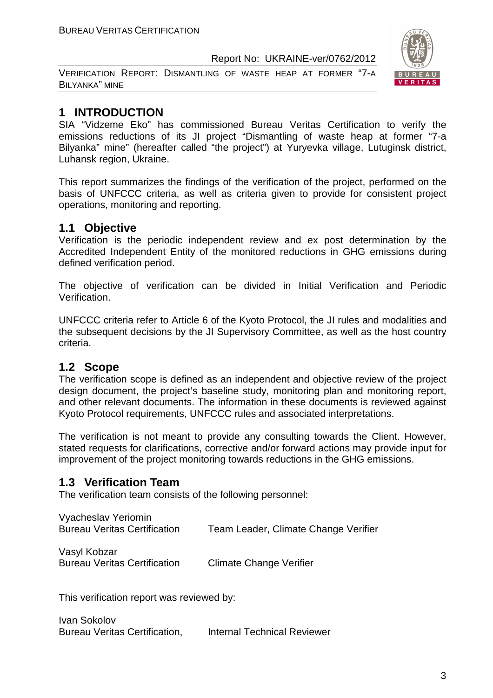VERIFICATION REPORT: DISMANTLING OF WASTE HEAP AT FORMER "7-A BILYANKA" MINE



#### **1 INTRODUCTION**

SIA "Vidzeme Eko" has commissioned Bureau Veritas Certification to verify the emissions reductions of its JI project "Dismantling of waste heap at former "7-a Bilyanka" mine" (hereafter called "the project") at Yuryevka village, Lutugіnsk district, Luhansk region, Ukraine.

This report summarizes the findings of the verification of the project, performed on the basis of UNFCCC criteria, as well as criteria given to provide for consistent project operations, monitoring and reporting.

#### **1.1 Objective**

Verification is the periodic independent review and ex post determination by the Accredited Independent Entity of the monitored reductions in GHG emissions during defined verification period.

The objective of verification can be divided in Initial Verification and Periodic Verification.

UNFCCC criteria refer to Article 6 of the Kyoto Protocol, the JI rules and modalities and the subsequent decisions by the JI Supervisory Committee, as well as the host country criteria.

#### **1.2 Scope**

The verification scope is defined as an independent and objective review of the project design document, the project's baseline study, monitoring plan and monitoring report, and other relevant documents. The information in these documents is reviewed against Kyoto Protocol requirements, UNFCCC rules and associated interpretations.

The verification is not meant to provide any consulting towards the Client. However, stated requests for clarifications, corrective and/or forward actions may provide input for improvement of the project monitoring towards reductions in the GHG emissions.

#### **1.3 Verification Team**

The verification team consists of the following personnel:

| Vyacheslav Yeriomin                 |                                      |
|-------------------------------------|--------------------------------------|
| <b>Bureau Veritas Certification</b> | Team Leader, Climate Change Verifier |

Vasyl Kobzar Bureau Veritas Certification Climate Change Verifier

This verification report was reviewed by:

Ivan Sokolov Bureau Veritas Certification, Internal Technical Reviewer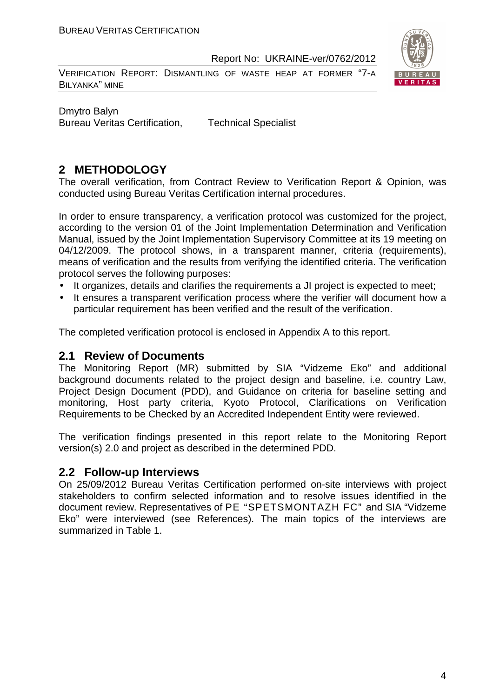VERIFICATION REPORT: DISMANTLING OF WASTE HEAP AT FORMER "7-A BILYANKA" MINE



Dmytro Balyn Bureau Veritas Certification, Technical Specialist

#### **2 METHODOLOGY**

The overall verification, from Contract Review to Verification Report & Opinion, was conducted using Bureau Veritas Certification internal procedures.

In order to ensure transparency, a verification protocol was customized for the project, according to the version 01 of the Joint Implementation Determination and Verification Manual, issued by the Joint Implementation Supervisory Committee at its 19 meeting on 04/12/2009. The protocol shows, in a transparent manner, criteria (requirements), means of verification and the results from verifying the identified criteria. The verification protocol serves the following purposes:

- It organizes, details and clarifies the requirements a JI project is expected to meet;
- It ensures a transparent verification process where the verifier will document how a particular requirement has been verified and the result of the verification.

The completed verification protocol is enclosed in Appendix A to this report.

#### **2.1 Review of Documents**

The Monitoring Report (MR) submitted by SIA "Vidzeme Eko" and additional background documents related to the project design and baseline, i.e. country Law, Project Design Document (PDD), and Guidance on criteria for baseline setting and monitoring, Host party criteria, Kyoto Protocol, Clarifications on Verification Requirements to be Checked by an Accredited Independent Entity were reviewed.

The verification findings presented in this report relate to the Monitoring Report version(s) 2.0 and project as described in the determined PDD.

#### **2.2 Follow-up Interviews**

On 25/09/2012 Bureau Veritas Certification performed on-site interviews with project stakeholders to confirm selected information and to resolve issues identified in the document review. Representatives of PE "SPETSMONTAZH FC" and SIA "Vidzeme Eko" were interviewed (see References). The main topics of the interviews are summarized in Table 1.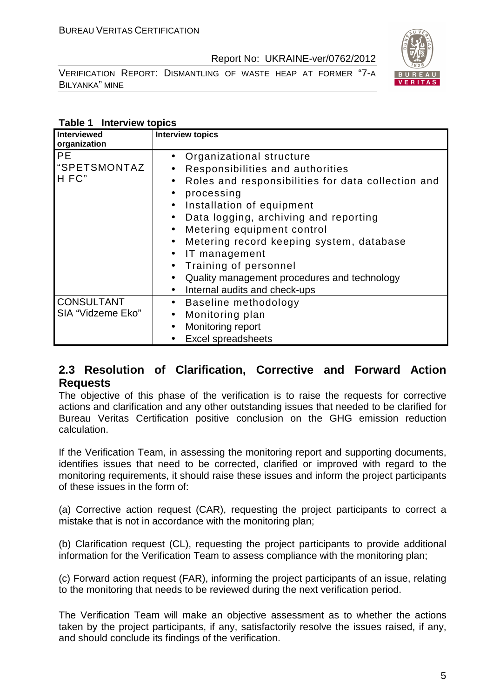VERIFICATION REPORT: DISMANTLING OF WASTE HEAP AT FORMER "7-A BILYANKA" MINE



#### **Table 1 Interview topics**

| Interviewed<br>organization              | <b>Interview topics</b>                                                                                                                                                                                                                                                                                                                                                                                                                                                                                                                                                 |
|------------------------------------------|-------------------------------------------------------------------------------------------------------------------------------------------------------------------------------------------------------------------------------------------------------------------------------------------------------------------------------------------------------------------------------------------------------------------------------------------------------------------------------------------------------------------------------------------------------------------------|
| <b>PE</b><br><b>SPETSMONTAZ</b><br>H FC" | Organizational structure<br>$\bullet$<br>Responsibilities and authorities<br>$\bullet$<br>Roles and responsibilities for data collection and<br>$\bullet$<br>processing<br>$\bullet$<br>Installation of equipment<br>$\bullet$<br>Data logging, archiving and reporting<br>$\bullet$<br>Metering equipment control<br>$\bullet$<br>Metering record keeping system, database<br>$\bullet$<br>IT management<br>$\bullet$<br>Training of personnel<br>$\bullet$<br>Quality management procedures and technology<br>$\bullet$<br>Internal audits and check-ups<br>$\bullet$ |
| <b>CONSULTANT</b><br>SIA "Vidzeme Eko"   | Baseline methodology<br>$\bullet$<br>Monitoring plan<br>$\bullet$<br>Monitoring report<br>$\bullet$<br><b>Excel spreadsheets</b>                                                                                                                                                                                                                                                                                                                                                                                                                                        |

#### **2.3 Resolution of Clarification, Corrective and Forward Action Requests**

The objective of this phase of the verification is to raise the requests for corrective actions and clarification and any other outstanding issues that needed to be clarified for Bureau Veritas Certification positive conclusion on the GHG emission reduction calculation.

If the Verification Team, in assessing the monitoring report and supporting documents, identifies issues that need to be corrected, clarified or improved with regard to the monitoring requirements, it should raise these issues and inform the project participants of these issues in the form of:

(a) Corrective action request (CAR), requesting the project participants to correct a mistake that is not in accordance with the monitoring plan;

(b) Clarification request (CL), requesting the project participants to provide additional information for the Verification Team to assess compliance with the monitoring plan;

(c) Forward action request (FAR), informing the project participants of an issue, relating to the monitoring that needs to be reviewed during the next verification period.

The Verification Team will make an objective assessment as to whether the actions taken by the project participants, if any, satisfactorily resolve the issues raised, if any, and should conclude its findings of the verification.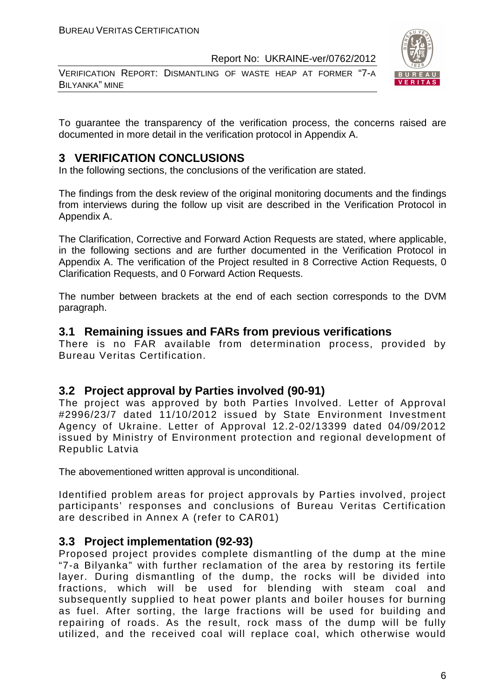VERIFICATION REPORT: DISMANTLING OF WASTE HEAP AT FORMER "7-A BILYANKA" MINE



To guarantee the transparency of the verification process, the concerns raised are documented in more detail in the verification protocol in Appendix A.

#### **3 VERIFICATION CONCLUSIONS**

In the following sections, the conclusions of the verification are stated.

The findings from the desk review of the original monitoring documents and the findings from interviews during the follow up visit are described in the Verification Protocol in Appendix A.

The Clarification, Corrective and Forward Action Requests are stated, where applicable, in the following sections and are further documented in the Verification Protocol in Appendix A. The verification of the Project resulted in 8 Corrective Action Requests, 0 Clarification Requests, and 0 Forward Action Requests.

The number between brackets at the end of each section corresponds to the DVM paragraph.

#### **3.1 Remaining issues and FARs from previous verifications**

There is no FAR available from determination process, provided by Bureau Veritas Certification.

#### **3.2 Project approval by Parties involved (90-91)**

The project was approved by both Parties Involved. Letter of Approval #2996/23/7 dated 11/10/2012 issued by State Environment Investment Agency of Ukraine. Letter of Approval 12.2-02/13399 dated 04/09/2012 issued by Ministry of Environment protection and regional development of Republic Latvia

The abovementioned written approval is unconditional.

Identified problem areas for project approvals by Parties involved, project participants' responses and conclusions of Bureau Veritas Certification are described in Annex A (refer to CAR01)

#### **3.3 Project implementation (92-93)**

Proposed project provides complete dismantling of the dump at the mine "7-a Bilyanka" with further reclamation of the area by restoring its fertile layer. During dismantling of the dump, the rocks will be divided into fractions, which will be used for blending with steam coal and subsequently supplied to heat power plants and boiler houses for burning as fuel. After sorting, the large fractions will be used for building and repairing of roads. As the result, rock mass of the dump will be fully utilized, and the received coal will replace coal, which otherwise would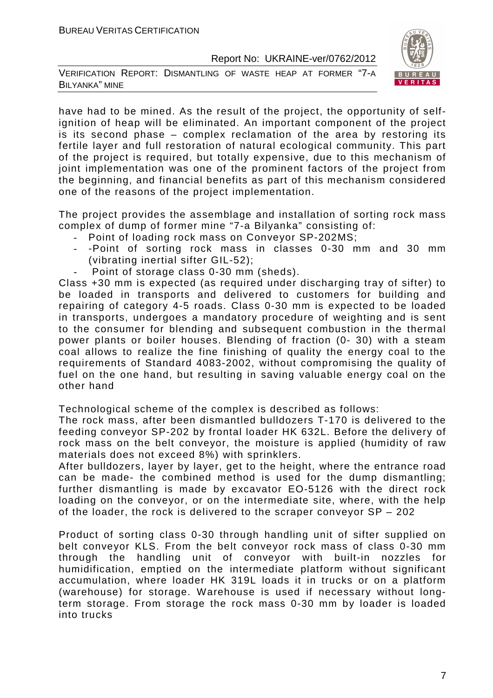VERIFICATION REPORT: DISMANTLING OF WASTE HEAP AT FORMER "7-A BILYANKA" MINE



have had to be mined. As the result of the project, the opportunity of selfignition of heap will be eliminated. An important component of the project is its second phase – complex reclamation of the area by restoring its fertile layer and full restoration of natural ecological community. This part of the project is required, but totally expensive, due to this mechanism of joint implementation was one of the prominent factors of the project from the beginning, and financial benefits as part of this mechanism considered one of the reasons of the project implementation.

The project provides the assemblage and installation of sorting rock mass complex of dump of former mine "7-a Bilyanka" consisting of:

- Point of loading rock mass on Conveyor SP-202MS;
- -Point of sorting rock mass in classes 0-30 mm and 30 mm (vibrating inertial sifter GIL-52);
- Point of storage class 0-30 mm (sheds).

Class +30 mm is expected (as required under discharging tray of sifter) to be loaded in transports and delivered to customers for building and repairing of category 4-5 roads. Class 0-30 mm is expected to be loaded in transports, undergoes a mandatory procedure of weighting and is sent to the consumer for blending and subsequent combustion in the thermal power plants or boiler houses. Blending of fraction (0- 30) with a steam coal allows to realize the fine finishing of quality the energy coal to the requirements of Standard 4083-2002, without compromising the quality of fuel on the one hand, but resulting in saving valuable energy coal on the other hand

Technological scheme of the complex is described as follows:

The rock mass, after been dismantled bulldozers T-170 is delivered to the feeding conveyor SP-202 by frontal loader HK 632L. Before the delivery of rock mass on the belt conveyor, the moisture is applied (humidity of raw materials does not exceed 8%) with sprinklers.

After bulldozers, layer by layer, get to the height, where the entrance road can be made- the combined method is used for the dump dismantling; further dismantling is made by excavator EO-5126 with the direct rock loading on the conveyor, or on the intermediate site, where, with the help of the loader, the rock is delivered to the scraper conveyor SP – 202

Product of sorting class 0-30 through handling unit of sifter supplied on belt conveyor KLS. From the belt conveyor rock mass of class 0-30 mm through the handling unit of conveyor with built-in nozzles for humidification, emptied on the intermediate platform without significant accumulation, where loader HK 319L loads it in trucks or on a platform (warehouse) for storage. Warehouse is used if necessary without longterm storage. From storage the rock mass 0-30 mm by loader is loaded into trucks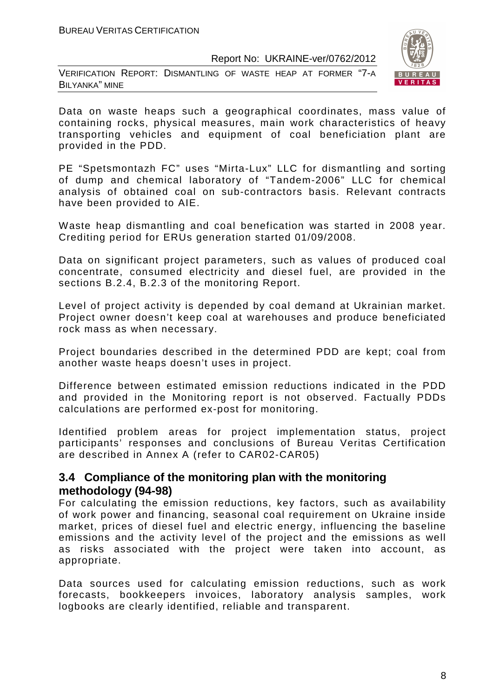VERIFICATION REPORT: DISMANTLING OF WASTE HEAP AT FORMER "7-A BILYANKA" MINE



Data on waste heaps such a geographical coordinates, mass value of containing rocks, physical measures, main work characteristics of heavy transporting vehicles and equipment of coal beneficiation plant are provided in the PDD.

PE "Spetsmontazh FC" uses "Mirta-Lux" LLC for dismantling and sorting of dump and chemical laboratory of "Tandem-2006" LLC for chemical analysis of obtained coal on sub-contractors basis. Relevant contracts have been provided to AIE.

Waste heap dismantling and coal benefication was started in 2008 year. Crediting period for ERUs generation started 01/09/2008.

Data on significant project parameters, such as values of produced coal concentrate, consumed electricity and diesel fuel, are provided in the sections B.2.4, B.2.3 of the monitoring Report.

Level of project activity is depended by coal demand at Ukrainian market. Project owner doesn't keep coal at warehouses and produce beneficiated rock mass as when necessary.

Project boundaries described in the determined PDD are kept; coal from another waste heaps doesn't uses in project.

Difference between estimated emission reductions indicated in the PDD and provided in the Monitoring report is not observed. Factually PDDs calculations are performed ex-post for monitoring.

Identified problem areas for project implementation status, project participants' responses and conclusions of Bureau Veritas Certification are described in Annex A (refer to CAR02-CAR05)

#### **3.4 Compliance of the monitoring plan with the monitoring methodology (94-98)**

For calculating the emission reductions, key factors, such as availability of work power and financing, seasonal coal requirement on Ukraine inside market, prices of diesel fuel and electric energy, influencing the baseline emissions and the activity level of the project and the emissions as well as risks associated with the project were taken into account, as appropriate.

Data sources used for calculating emission reductions, such as work forecasts, bookkeepers invoices, laboratory analysis samples, work logbooks are clearly identified, reliable and transparent.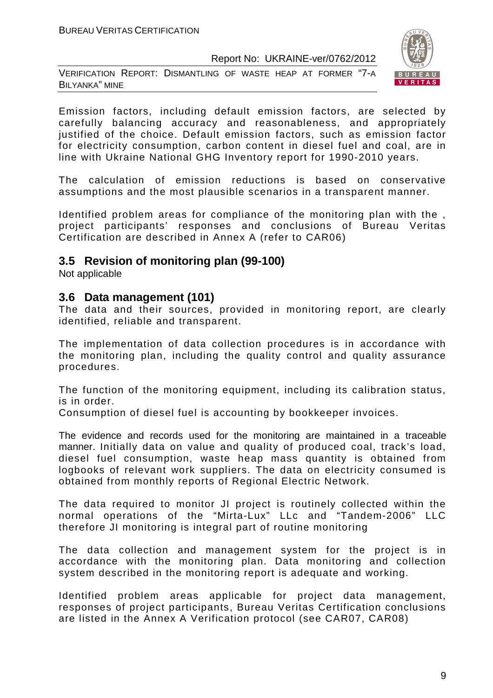VERIFICATION REPORT: DISMANTLING OF WASTE HEAP AT FORMER "7-A BILYANKA" MINE



Emission factors, including default emission factors, are selected by carefully balancing accuracy and reasonableness, and appropriately justified of the choice. Default emission factors, such as emission factor for electricity consumption, carbon content in diesel fuel and coal, are in line with Ukraine National GHG Inventory report for 1990-2010 years.

The calculation of emission reductions is based on conservative assumptions and the most plausible scenarios in a transparent manner.

Identified problem areas for compliance of the monitoring plan with the , project participants' responses and conclusions of Bureau Veritas Certification are described in Annex A (refer to CAR06)

#### **3.5 Revision of monitoring plan (99-100)**

Not applicable

#### **3.6 Data management (101)**

The data and their sources, provided in monitoring report, are clearly identified, reliable and transparent.

The implementation of data collection procedures is in accordance with the monitoring plan, including the quality control and quality assurance procedures.

The function of the monitoring equipment, including its calibration status, is in order.

Consumption of diesel fuel is accounting by bookkeeper invoices.

The evidence and records used for the monitoring are maintained in a traceable manner. Initially data on value and quality of produced coal, track's load, diesel fuel consumption, waste heap mass quantity is obtained from logbooks of relevant work suppliers. The data on electricity consumed is obtained from monthly reports of Regional Electric Network.

The data required to monitor JI project is routinely collected within the normal operations of the "Mirta-Lux" LLc and "Tandem-2006" LLC therefore JI monitoring is integral part of routine monitoring

The data collection and management system for the project is in accordance with the monitoring plan. Data monitoring and collection system described in the monitoring report is adequate and working.

Identified problem areas applicable for project data management, responses of project participants, Bureau Veritas Certification conclusions are listed in the Annex A Verification protocol (see CAR07, CAR08)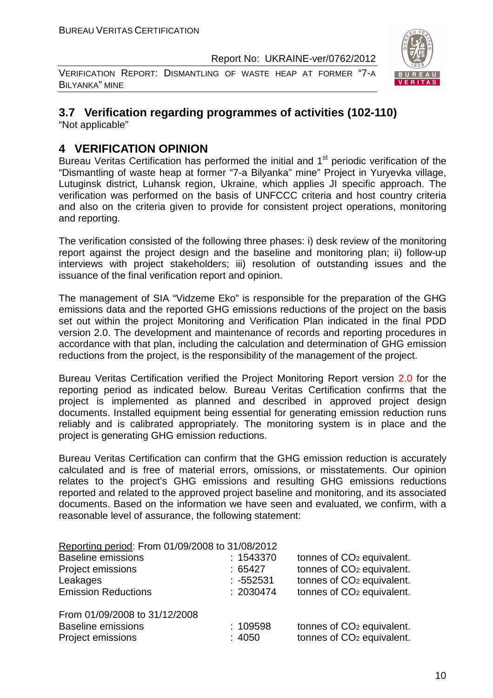VERIFICATION REPORT: DISMANTLING OF WASTE HEAP AT FORMER "7-A BILYANKA" MINE



### **3.7 Verification regarding programmes of activities (102-110)**

"Not applicable"

#### **4 VERIFICATION OPINION**

Bureau Veritas Certification has performed the initial and 1<sup>st</sup> periodic verification of the "Dismantling of waste heap at former "7-a Bilyanka" mine" Project in Yuryevka village, Lutugіnsk district, Luhansk region, Ukraine, which applies JI specific approach. The verification was performed on the basis of UNFCCC criteria and host country criteria and also on the criteria given to provide for consistent project operations, monitoring and reporting.

The verification consisted of the following three phases: i) desk review of the monitoring report against the project design and the baseline and monitoring plan; ii) follow-up interviews with project stakeholders; iii) resolution of outstanding issues and the issuance of the final verification report and opinion.

The management of SIA "Vidzeme Eko" is responsible for the preparation of the GHG emissions data and the reported GHG emissions reductions of the project on the basis set out within the project Monitoring and Verification Plan indicated in the final PDD version 2.0. The development and maintenance of records and reporting procedures in accordance with that plan, including the calculation and determination of GHG emission reductions from the project, is the responsibility of the management of the project.

Bureau Veritas Certification verified the Project Monitoring Report version 2.0 for the reporting period as indicated below. Bureau Veritas Certification confirms that the project is implemented as planned and described in approved project design documents. Installed equipment being essential for generating emission reduction runs reliably and is calibrated appropriately. The monitoring system is in place and the project is generating GHG emission reductions.

Bureau Veritas Certification can confirm that the GHG emission reduction is accurately calculated and is free of material errors, omissions, or misstatements. Our opinion relates to the project's GHG emissions and resulting GHG emissions reductions reported and related to the approved project baseline and monitoring, and its associated documents. Based on the information we have seen and evaluated, we confirm, with a reasonable level of assurance, the following statement:

| Reporting period: From 01/09/2008 to 31/08/2012 |             |                                       |
|-------------------------------------------------|-------------|---------------------------------------|
| <b>Baseline emissions</b>                       | : 1543370   | tonnes of CO <sub>2</sub> equivalent. |
| Project emissions                               | :65427      | tonnes of CO <sub>2</sub> equivalent. |
| Leakages                                        | $: -552531$ | tonnes of CO <sub>2</sub> equivalent. |
| <b>Emission Reductions</b>                      | : 2030474   | tonnes of CO <sub>2</sub> equivalent. |
| From 01/09/2008 to 31/12/2008                   |             |                                       |
| <b>Baseline emissions</b>                       | : 109598    | tonnes of CO <sub>2</sub> equivalent. |
| Project emissions                               | : 4050      | tonnes of CO <sub>2</sub> equivalent. |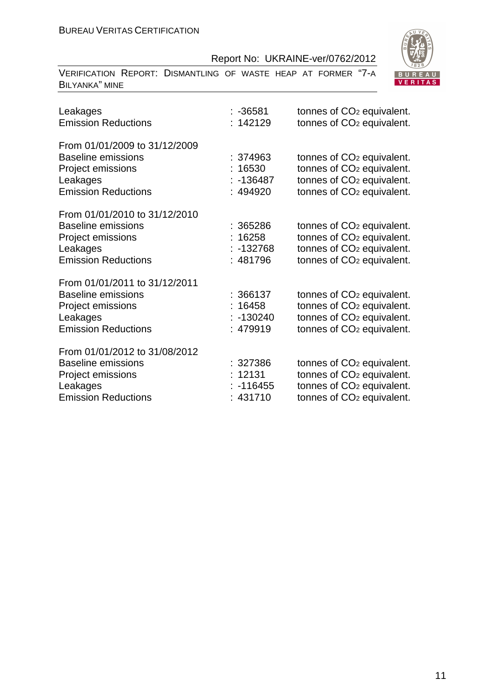| VERIFICATION REPORT: DISMANTLING OF WASTE HEAP AT FORMER "7-A<br><b>BILYANKA" MINE</b>                                    |                                              | <b>BUF</b><br><b>VER</b>                                                                                                                                         |
|---------------------------------------------------------------------------------------------------------------------------|----------------------------------------------|------------------------------------------------------------------------------------------------------------------------------------------------------------------|
| Leakages<br><b>Emission Reductions</b>                                                                                    | :-36581<br>: 142129                          | tonnes of CO <sub>2</sub> equivalent.<br>tonnes of CO <sub>2</sub> equivalent.                                                                                   |
| From 01/01/2009 to 31/12/2009<br><b>Baseline emissions</b><br>Project emissions<br>Leakages<br><b>Emission Reductions</b> | : 374963<br>16530<br>$-136487$<br>494920     | tonnes of CO <sub>2</sub> equivalent.<br>tonnes of CO <sub>2</sub> equivalent.<br>tonnes of CO <sub>2</sub> equivalent.<br>tonnes of CO <sub>2</sub> equivalent. |
| From 01/01/2010 to 31/12/2010<br><b>Baseline emissions</b><br>Project emissions<br>Leakages<br><b>Emission Reductions</b> | : 365286<br>16258<br>-132768<br>481796       | tonnes of CO <sub>2</sub> equivalent.<br>tonnes of CO <sub>2</sub> equivalent.<br>tonnes of CO <sub>2</sub> equivalent.<br>tonnes of CO <sub>2</sub> equivalent. |
| From 01/01/2011 to 31/12/2011<br><b>Baseline emissions</b><br>Project emissions<br>Leakages<br><b>Emission Reductions</b> | : 366137<br>16458<br>$-130240$<br>: 479919   | tonnes of CO <sub>2</sub> equivalent.<br>tonnes of CO <sub>2</sub> equivalent.<br>tonnes of CO <sub>2</sub> equivalent.<br>tonnes of CO <sub>2</sub> equivalent. |
| From 01/01/2012 to 31/08/2012<br><b>Baseline emissions</b><br>Project emissions<br>Leakages<br><b>Emission Reductions</b> | : 327386<br>: 12131<br>$-116455$<br>: 431710 | tonnes of CO <sub>2</sub> equivalent.<br>tonnes of CO <sub>2</sub> equivalent.<br>tonnes of CO <sub>2</sub> equivalent.<br>tonnes of CO <sub>2</sub> equivalent. |

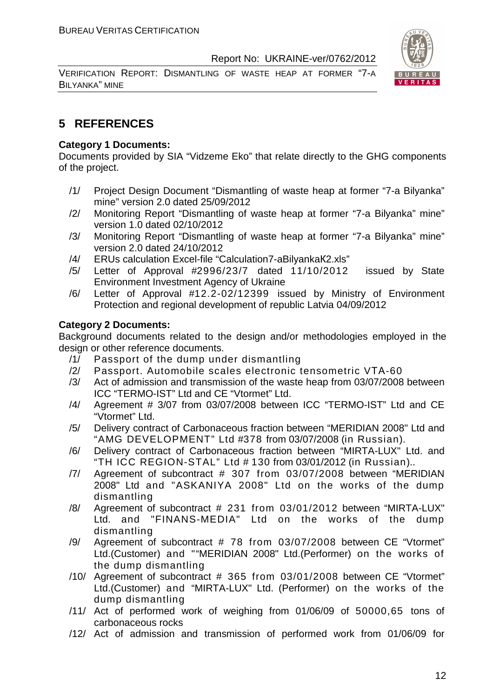VERIFICATION REPORT: DISMANTLING OF WASTE HEAP AT FORMER "7-A BILYANKA" MINE



#### **5 REFERENCES**

#### **Category 1 Documents:**

Documents provided by SIA "Vidzeme Eko" that relate directly to the GHG components of the project.

- /1/ Project Design Document "Dismantling of waste heap at former "7-a Bilyanka" mine" version 2.0 dated 25/09/2012
- /2/ Monitoring Report "Dismantling of waste heap at former "7-a Bilyanka" mine" version 1.0 dated 02/10/2012
- /3/ Monitoring Report "Dismantling of waste heap at former "7-a Bilyanka" mine" version 2.0 dated 24/10/2012
- /4/ ERUs calculation Excel-file "Calculation7-aBilyankaК2.xls"
- /5/ Letter of Approval #2996/23/7 dated 11/10/2012 issued by State Environment Investment Agency of Ukraine
- /6/ Letter of Approval #12.2-02/12399 issued by Ministry of Environment Protection and regional development of republic Latvia 04/09/2012

#### **Category 2 Documents:**

Background documents related to the design and/or methodologies employed in the design or other reference documents.

- /1/ Passport of the dump under dismantling
- /2/ Passport. Automobile scales electronic tensometric VТА-60
- /3/ Act of admission and transmission of the waste heap from 03/07/2008 between ICC "TERMO-IST" Ltd and CE "Vtormet" Ltd.
- /4/ Agreement # 3/07 from 03/07/2008 between ICC "TERMO-IST" Ltd and CE "Vtormet" Ltd.
- /5/ Delivery contract of Carbonaceous fraction between "MERIDIAN 2008" Ltd and "AMG DEVELOPMENT" Ltd #378 from 03/07/2008 (in Russian).
- /6/ Delivery contract of Carbonaceous fraction between "MIRTA-LUX" Ltd. and "TH ICC REGION-STAL" Ltd # 130 from 03/01/2012 (in Russian)..
- /7/ Agreement of subcontract # 307 from 03/07/2008 between "MERIDIAN 2008" Ltd and "ASKANIYA 2008" Ltd on the works of the dump dismantling
- /8/ Agreement of subcontract # 231 from 03/01/2012 between "MIRTA-LUX" Ltd. and "FINANS-MEDIA" Ltd on the works of the dump dismantling
- /9/ Agreement of subcontract # 78 from 03/07/2008 between CE "Vtormet" Ltd.(Customer) and ""MERIDIAN 2008" Ltd.(Performer) on the works of the dump dismantling
- /10/ Agreement of subcontract # 365 from 03/01/2008 between CE "Vtormet" Ltd.(Customer) and "MIRTA-LUX" Ltd. (Performer) on the works of the dump dismantling
- /11/ Act of performed work of weighing from 01/06/09 of 50000,65 tons of carbonaceous rocks
- /12/ Act of admission and transmission of performed work from 01/06/09 for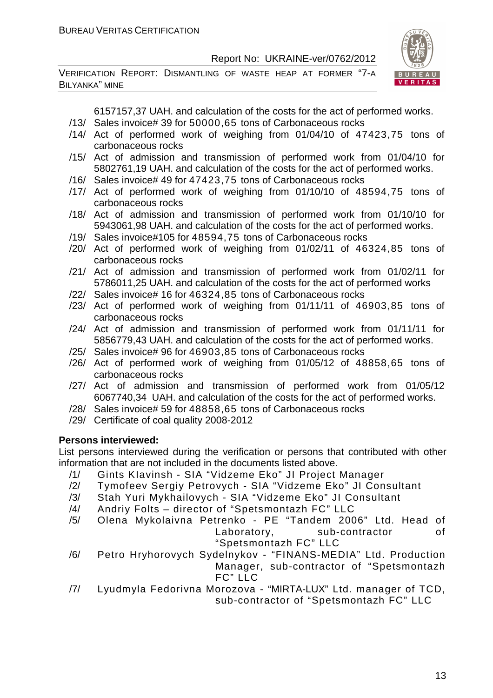VERIFICATION REPORT: DISMANTLING OF WASTE HEAP AT FORMER "7-A BILYANKA" MINE



6157157,37 UAH. and calculation of the costs for the act of performed works.

- /13/ Sales invoice# 39 for 50000,65 tons of Carbonaceous rocks
- /14/ Act of performed work of weighing from 01/04/10 of 47423,75 tons of carbonaceous rocks
- /15/ Act of admission and transmission of performed work from 01/04/10 for 5802761,19 UAH. and calculation of the costs for the act of performed works.
- /16/ Sales invoice# 49 for 47423,75 tons of Carbonaceous rocks
- /17/ Act of performed work of weighing from 01/10/10 of 48594,75 tons of carbonaceous rocks
- /18/ Act of admission and transmission of performed work from 01/10/10 for 5943061,98 UAH. and calculation of the costs for the act of performed works.
- /19/ Sales invoice#105 for 48594,75 tons of Carbonaceous rocks
- /20/ Act of performed work of weighing from 01/02/11 of 46324,85 tons of carbonaceous rocks
- /21/ Act of admission and transmission of performed work from 01/02/11 for 5786011,25 UAH. and calculation of the costs for the act of performed works
- /22/ Sales invoice# 16 for 46324,85 tons of Carbonaceous rocks
- /23/ Act of performed work of weighing from 01/11/11 of 46903,85 tons of carbonaceous rocks
- /24/ Act of admission and transmission of performed work from 01/11/11 for 5856779,43 UAH. and calculation of the costs for the act of performed works.
- /25/ Sales invoice# 96 for 46903,85 tons of Carbonaceous rocks
- /26/ Act of performed work of weighing from 01/05/12 of 48858,65 tons of carbonaceous rocks
- /27/ Act of admission and transmission of performed work from 01/05/12 6067740,34 UAH. and calculation of the costs for the act of performed works.
- /28/ Sales invoice# 59 for 48858,65 tons of Carbonaceous rocks
- /29/ Certificate of coal quality 2008-2012

#### **Persons interviewed:**

List persons interviewed during the verification or persons that contributed with other information that are not included in the documents listed above.

- /1/ Gints KIavinsh SIA "Vidzeme Eko" JI Project Manager
- /2/ Tymofeev Sergiy Petrovych SIA "Vidzeme Eko" JI Consultant
- /3/ Stah Yuri Mykhailovych SIA "Vidzeme Eko" JI Consultant
- /4/ Andriy Folts director of "Spetsmontazh FC" LLC
- /5/ Olena Mykolaivna Petrenko PE "Tandem 2006" Ltd. Head of Laboratory, sub-contractor of "Spetsmontazh FC" LLC
- /6/ Petro Hryhorovych Sydelnykov "FINANS-MEDIA" Ltd. Production Manager, sub-contractor of "Spetsmontazh FC" LLC
- /7/ Lyudmyla Fedorivna Morozova "MIRTA-LUX" Ltd. manager of TCD, sub-contractor of "Spetsmontazh FC" LLC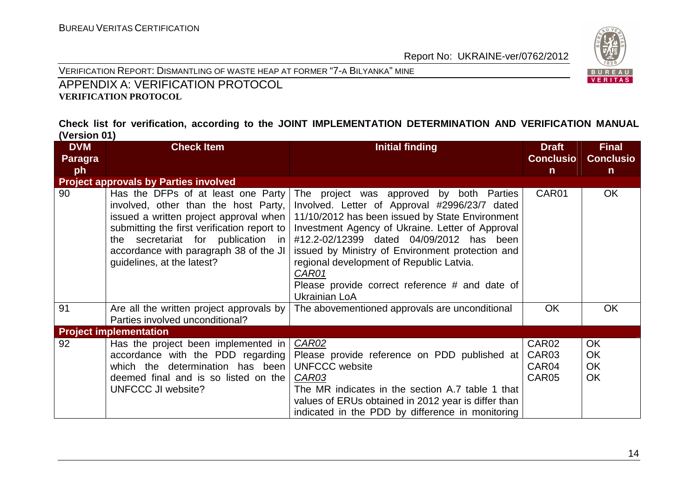

VERIFICATION REPORT: DISMANTLING OF WASTE HEAP AT FORMER "7-A BILYANKA" MINE

APPENDIX A: VERIFICATION PROTOCOL **VERIFICATION PROTOCOL** 

#### **Check list for verification, according to the JOINT IMPLEMENTATION DETERMINATION AND VERIFICATION MANUAL (Version 01)**

| <b>DVM</b> | <b>Check Item</b>                                                                                                                                                                                                                                                                 | <b>Initial finding</b>                                                                                                                                                                                                                                                                                                                                                                                                   | <b>Draft</b>                                 | <b>Final</b>                              |
|------------|-----------------------------------------------------------------------------------------------------------------------------------------------------------------------------------------------------------------------------------------------------------------------------------|--------------------------------------------------------------------------------------------------------------------------------------------------------------------------------------------------------------------------------------------------------------------------------------------------------------------------------------------------------------------------------------------------------------------------|----------------------------------------------|-------------------------------------------|
| Paragra    |                                                                                                                                                                                                                                                                                   |                                                                                                                                                                                                                                                                                                                                                                                                                          | <b>Conclusio</b>                             | <b>Conclusio</b>                          |
| ph         |                                                                                                                                                                                                                                                                                   |                                                                                                                                                                                                                                                                                                                                                                                                                          | $\mathsf{n}$                                 | $\mathsf{n}$                              |
|            | <b>Project approvals by Parties involved</b>                                                                                                                                                                                                                                      |                                                                                                                                                                                                                                                                                                                                                                                                                          |                                              |                                           |
| 90         | Has the DFPs of at least one Party<br>involved, other than the host Party,<br>issued a written project approval when<br>submitting the first verification report to<br>the secretariat for publication in<br>accordance with paragraph 38 of the JI<br>guidelines, at the latest? | The project was approved by both Parties<br>Involved. Letter of Approval #2996/23/7 dated<br>11/10/2012 has been issued by State Environment<br>Investment Agency of Ukraine. Letter of Approval<br>#12.2-02/12399 dated 04/09/2012 has been<br>issued by Ministry of Environment protection and<br>regional development of Republic Latvia.<br>CAR01<br>Please provide correct reference # and date of<br>Ukrainian LoA | CAR01                                        | <b>OK</b>                                 |
| 91         | Are all the written project approvals by<br>Parties involved unconditional?                                                                                                                                                                                                       | The abovementioned approvals are unconditional                                                                                                                                                                                                                                                                                                                                                                           | <b>OK</b>                                    | <b>OK</b>                                 |
|            | <b>Project implementation</b>                                                                                                                                                                                                                                                     |                                                                                                                                                                                                                                                                                                                                                                                                                          |                                              |                                           |
| 92         | Has the project been implemented in<br>accordance with the PDD regarding<br>which the determination has been<br>deemed final and is so listed on the<br><b>UNFCCC JI website?</b>                                                                                                 | CAR02<br>Please provide reference on PDD published at<br><b>UNFCCC</b> website<br>CAR03<br>The MR indicates in the section A.7 table 1 that<br>values of ERUs obtained in 2012 year is differ than<br>indicated in the PDD by difference in monitoring                                                                                                                                                                   | CAR <sub>02</sub><br>CAR03<br>CAR04<br>CAR05 | <b>OK</b><br><b>OK</b><br><b>OK</b><br>OK |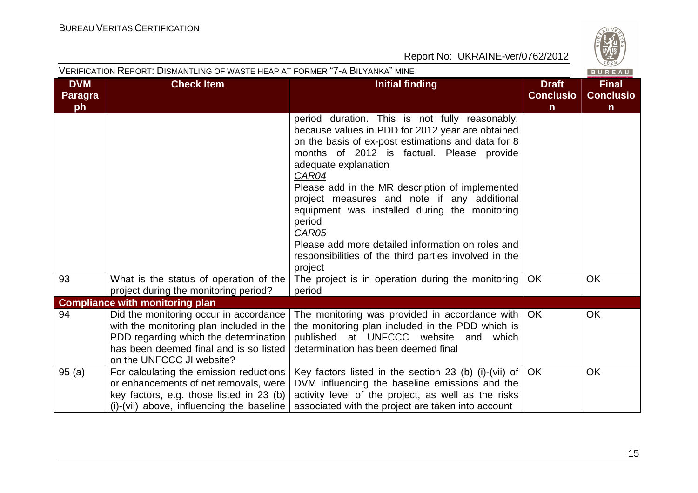

#### VERIFICATION REPORT: DISMANTLING OF WASTE HEAP AT FORMER "7-A BILYANKA" MINE

| <b>DVM</b><br><b>Paragra</b> | <b>Check Item</b>                                                                                                                                                                                  | <b>Initial finding</b>                                                                                                                                                                                                                                                                                                                                                                                                                                                                                                                                                                               | <b>Draft</b><br><b>Conclusio</b> | <b>Final</b><br><b>Conclusio</b> |
|------------------------------|----------------------------------------------------------------------------------------------------------------------------------------------------------------------------------------------------|------------------------------------------------------------------------------------------------------------------------------------------------------------------------------------------------------------------------------------------------------------------------------------------------------------------------------------------------------------------------------------------------------------------------------------------------------------------------------------------------------------------------------------------------------------------------------------------------------|----------------------------------|----------------------------------|
| ph<br>93                     | What is the status of operation of the<br>project during the monitoring period?                                                                                                                    | period duration. This is not fully reasonably,<br>because values in PDD for 2012 year are obtained<br>on the basis of ex-post estimations and data for 8<br>months of 2012 is factual. Please provide<br>adequate explanation<br>CAR04<br>Please add in the MR description of implemented<br>project measures and note if any additional<br>equipment was installed during the monitoring<br>period<br>CAR05<br>Please add more detailed information on roles and<br>responsibilities of the third parties involved in the<br>project<br>The project is in operation during the monitoring<br>period | $\mathsf{n}$<br>OK               | $\mathsf{n}$<br><b>OK</b>        |
|                              | <b>Compliance with monitoring plan</b>                                                                                                                                                             |                                                                                                                                                                                                                                                                                                                                                                                                                                                                                                                                                                                                      |                                  |                                  |
| 94                           | Did the monitoring occur in accordance<br>with the monitoring plan included in the<br>PDD regarding which the determination<br>has been deemed final and is so listed<br>on the UNFCCC JI website? | The monitoring was provided in accordance with<br>the monitoring plan included in the PDD which is<br>published at UNFCCC website and which<br>determination has been deemed final                                                                                                                                                                                                                                                                                                                                                                                                                   | <b>OK</b>                        | OK                               |
| 95(a)                        | For calculating the emission reductions<br>or enhancements of net removals, were<br>key factors, e.g. those listed in 23 (b)<br>(i)-(vii) above, influencing the baseline                          | Key factors listed in the section 23 (b) (i)-(vii) of<br>DVM influencing the baseline emissions and the<br>activity level of the project, as well as the risks<br>associated with the project are taken into account                                                                                                                                                                                                                                                                                                                                                                                 | OK                               | OK                               |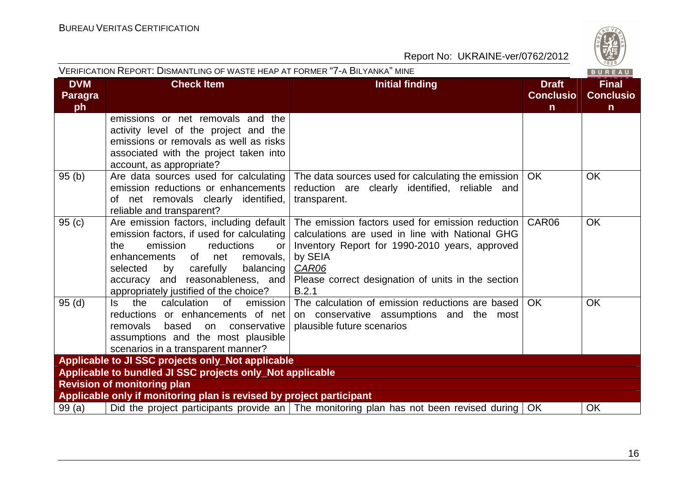| S   |
|-----|
| ሕ   |
| 828 |

|                                    | VERIFICATION REPORT: DISMANTLING OF WASTE HEAP AT FORMER "7-A BILYANKA" MINE                                                                                                                                  |                                                                                                                                                                                                                                                                                                                         |                                                  | BUREAU                                           |
|------------------------------------|---------------------------------------------------------------------------------------------------------------------------------------------------------------------------------------------------------------|-------------------------------------------------------------------------------------------------------------------------------------------------------------------------------------------------------------------------------------------------------------------------------------------------------------------------|--------------------------------------------------|--------------------------------------------------|
| <b>DVM</b><br><b>Paragra</b><br>ph | <b>Check Item</b>                                                                                                                                                                                             | <b>Initial finding</b>                                                                                                                                                                                                                                                                                                  | <b>Draft</b><br><b>Conclusio</b><br>$\mathsf{n}$ | <b>Final</b><br><b>Conclusio</b><br>$\mathsf{n}$ |
|                                    | emissions or net removals and the<br>activity level of the project and the<br>emissions or removals as well as risks<br>associated with the project taken into<br>account, as appropriate?                    |                                                                                                                                                                                                                                                                                                                         |                                                  |                                                  |
| 95(b)                              | Are data sources used for calculating<br>emission reductions or enhancements<br>of net removals clearly identified,<br>reliable and transparent?                                                              | The data sources used for calculating the emission  <br>reduction are clearly identified, reliable and<br>transparent.                                                                                                                                                                                                  | OK.                                              | <b>OK</b>                                        |
| 95(c)                              | emission factors, if used for calculating<br>reductions<br>the<br>emission<br>or<br>of net<br>enhancements<br>removals,<br>selected<br>carefully<br>balancing<br>by<br>appropriately justified of the choice? | Are emission factors, including default   The emission factors used for emission reduction  <br>calculations are used in line with National GHG<br>Inventory Report for 1990-2010 years, approved<br>by SEIA<br>CAR06<br>accuracy and reasonableness, and   Please correct designation of units in the section<br>B.2.1 | CAR06                                            | <b>OK</b>                                        |
| 95(d)                              | the<br>calculation<br>0f<br>emission<br>Is.<br>reductions or enhancements of net<br>removals<br>based<br>on<br>conservative  <br>assumptions and the most plausible<br>scenarios in a transparent manner?     | The calculation of emission reductions are based<br>on conservative assumptions and the most<br>plausible future scenarios                                                                                                                                                                                              | OK.                                              | <b>OK</b>                                        |
|                                    | Applicable to JI SSC projects only_Not applicable                                                                                                                                                             |                                                                                                                                                                                                                                                                                                                         |                                                  |                                                  |
|                                    | Applicable to bundled JI SSC projects only_Not applicable                                                                                                                                                     |                                                                                                                                                                                                                                                                                                                         |                                                  |                                                  |
|                                    | <b>Revision of monitoring plan</b>                                                                                                                                                                            |                                                                                                                                                                                                                                                                                                                         |                                                  |                                                  |
|                                    | Applicable only if monitoring plan is revised by project participant                                                                                                                                          |                                                                                                                                                                                                                                                                                                                         |                                                  |                                                  |
| 99(a)                              |                                                                                                                                                                                                               | Did the project participants provide an The monitoring plan has not been revised during                                                                                                                                                                                                                                 | OK                                               | <b>OK</b>                                        |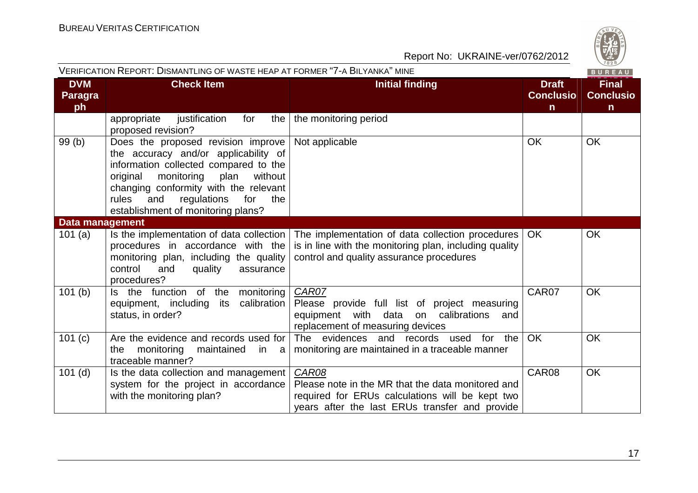| VERIFICATION REPORT: DISMANTLING OF WASTE HEAP AT FORMER "7-A BILYANKA" MINE |                                                                                                                                                                                                                                                                                              |                                                                                                                                                                 | 1828<br>BUREAU                                   |                                                  |
|------------------------------------------------------------------------------|----------------------------------------------------------------------------------------------------------------------------------------------------------------------------------------------------------------------------------------------------------------------------------------------|-----------------------------------------------------------------------------------------------------------------------------------------------------------------|--------------------------------------------------|--------------------------------------------------|
| <b>DVM</b><br><b>Paragra</b><br>ph                                           | <b>Check Item</b>                                                                                                                                                                                                                                                                            | <b>Initial finding</b>                                                                                                                                          | <b>Draft</b><br><b>Conclusio</b><br>$\mathsf{n}$ | <b>Final</b><br><b>Conclusio</b><br>$\mathsf{n}$ |
|                                                                              | appropriate<br>justification<br>for<br>the  <br>proposed revision?                                                                                                                                                                                                                           | the monitoring period                                                                                                                                           |                                                  |                                                  |
| 99 (b)                                                                       | Does the proposed revision improve<br>the accuracy and/or applicability of<br>information collected compared to the<br>monitoring<br>plan<br>without<br>original<br>changing conformity with the relevant<br>for<br>rules<br>and<br>regulations<br>the<br>establishment of monitoring plans? | Not applicable                                                                                                                                                  | <b>OK</b>                                        | <b>OK</b>                                        |
| Data management                                                              |                                                                                                                                                                                                                                                                                              |                                                                                                                                                                 |                                                  |                                                  |
| 101 $(a)$                                                                    | Is the implementation of data collection<br>procedures in accordance with the<br>monitoring plan, including the quality<br>control<br>and<br>quality<br>assurance<br>procedures?                                                                                                             | The implementation of data collection procedures<br>is in line with the monitoring plan, including quality<br>control and quality assurance procedures          | <b>OK</b>                                        | OK                                               |
| 101(b)                                                                       | Is the function of the monitoring<br>equipment, including its calibration<br>status, in order?                                                                                                                                                                                               | CAR07<br>Please provide full list of project measuring<br>equipment with data on calibrations<br>and<br>replacement of measuring devices                        | CAR07                                            | <b>OK</b>                                        |
| 101 (c)                                                                      | Are the evidence and records used for<br>monitoring<br>the<br>maintained<br>in a<br>traceable manner?                                                                                                                                                                                        | The evidences and records used for the<br>monitoring are maintained in a traceable manner                                                                       | OK                                               | <b>OK</b>                                        |
| $101$ (d)                                                                    | Is the data collection and management<br>system for the project in accordance<br>with the monitoring plan?                                                                                                                                                                                   | CAR08<br>Please note in the MR that the data monitored and<br>required for ERUs calculations will be kept two<br>years after the last ERUs transfer and provide | CAR08                                            | OK                                               |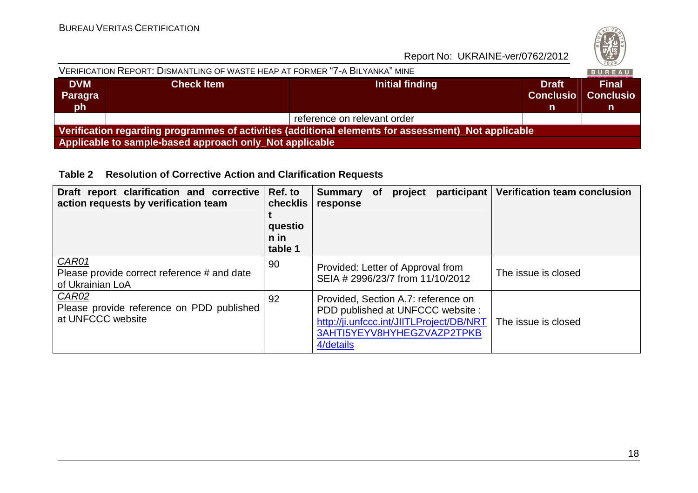| S         |
|-----------|
|           |
| ۵         |
| ٦.<br>828 |
|           |

| VERIFICATION REPORT: DISMANTLING OF WASTE HEAP AT FORMER "7-A BILYANKA" MINE                        |                   |                             |                                        |                                       |  |  |
|-----------------------------------------------------------------------------------------------------|-------------------|-----------------------------|----------------------------------------|---------------------------------------|--|--|
| <b>DVM</b><br>Paragra<br><b>oh</b>                                                                  | <b>Check Item</b> | Initial finding             | <b>Draft</b><br><b>Conclusio</b><br>n. | <b>Final</b><br><b>Conclusio</b><br>n |  |  |
|                                                                                                     |                   | reference on relevant order |                                        |                                       |  |  |
| Verification regarding programmes of activities (additional elements for assessment)_Not applicable |                   |                             |                                        |                                       |  |  |
| Applicable to sample-based approach only Not applicable                                             |                   |                             |                                        |                                       |  |  |

**Table 2 Resolution of Corrective Action and Clarification Requests** 

| Draft report clarification and corrective<br>action requests by verification team | Ref. to<br>checklis<br>questio<br>n in<br>table 1 | participant<br>project<br><b>Summary</b><br><b>of</b><br>response                                                                                              | <b>Verification team conclusion</b> |
|-----------------------------------------------------------------------------------|---------------------------------------------------|----------------------------------------------------------------------------------------------------------------------------------------------------------------|-------------------------------------|
| CAR01<br>Please provide correct reference # and date<br>of Ukrainian LoA          | 90                                                | Provided: Letter of Approval from<br>SEIA # 2996/23/7 from 11/10/2012                                                                                          | The issue is closed                 |
| CAR02<br>Please provide reference on PDD published<br>at UNFCCC website           | 92                                                | Provided, Section A.7: reference on<br>PDD published at UNFCCC website:<br>http://ji.unfccc.int/JIITLProject/DB/NRT<br>3AHTI5YEYV8HYHEGZVAZP2TPKB<br>4/details | The issue is closed                 |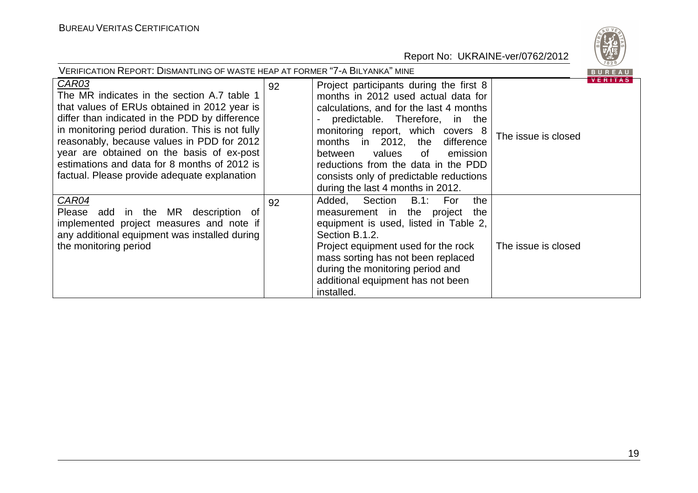| VERIFICATION REPORT: DISMANTLING OF WASTE HEAP AT FORMER "7-A BILYANKA" MINE                                                                                                                                                                                                                                                                                                                          |    |                                                                                                                                                                                                                                                                                                                                                                                                     |                                       | BUREAU |
|-------------------------------------------------------------------------------------------------------------------------------------------------------------------------------------------------------------------------------------------------------------------------------------------------------------------------------------------------------------------------------------------------------|----|-----------------------------------------------------------------------------------------------------------------------------------------------------------------------------------------------------------------------------------------------------------------------------------------------------------------------------------------------------------------------------------------------------|---------------------------------------|--------|
| CAR03<br>The MR indicates in the section A.7 table 1<br>that values of ERUs obtained in 2012 year is<br>differ than indicated in the PDD by difference<br>in monitoring period duration. This is not fully<br>reasonably, because values in PDD for 2012<br>year are obtained on the basis of ex-post<br>estimations and data for 8 months of 2012 is<br>factual. Please provide adequate explanation | 92 | Project participants during the first 8<br>months in 2012 used actual data for<br>calculations, and for the last 4 months<br>predictable. Therefore, in the<br>monitoring report, which covers 8<br>months in 2012, the<br>difference<br>values<br>emission<br>between<br>of<br>reductions from the data in the PDD<br>consists only of predictable reductions<br>during the last 4 months in 2012. | <b>VERITAS</b><br>The issue is closed |        |
| CAR04<br>Please add in the MR description of<br>implemented project measures and note if<br>any additional equipment was installed during<br>the monitoring period                                                                                                                                                                                                                                    | 92 | Section<br><b>B.1:</b><br>Added,<br>the<br>For<br>measurement in the project<br>the<br>equipment is used, listed in Table 2,<br>Section B.1.2.<br>Project equipment used for the rock<br>mass sorting has not been replaced<br>during the monitoring period and<br>additional equipment has not been<br>installed.                                                                                  | The issue is closed                   |        |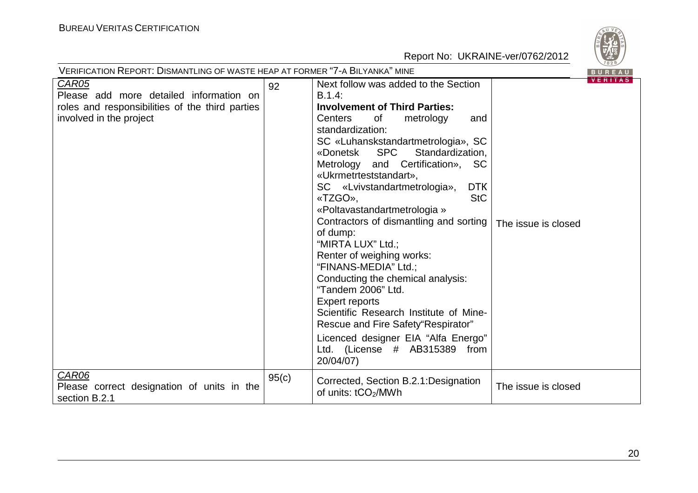

| VERIFICATION REPORT: DISMANTLING OF WASTE HEAP AT FORMER "7-A BILYANKA" MINE                                                                   |       |                                                                                                                                                                                                                                                                                                                                                                                                                                                                                                                                                                                                                                                                                                                                                                                                      |                     |                          |
|------------------------------------------------------------------------------------------------------------------------------------------------|-------|------------------------------------------------------------------------------------------------------------------------------------------------------------------------------------------------------------------------------------------------------------------------------------------------------------------------------------------------------------------------------------------------------------------------------------------------------------------------------------------------------------------------------------------------------------------------------------------------------------------------------------------------------------------------------------------------------------------------------------------------------------------------------------------------------|---------------------|--------------------------|
| <b>CAR05</b><br>Please add more detailed information on<br>roles and responsibilities of the third parties<br>involved in the project<br>CAR06 | 92    | Next follow was added to the Section<br>$B.1.4$ :<br><b>Involvement of Third Parties:</b><br>Centers<br>of<br>metrology<br>and<br>standardization:<br>SC «Luhanskstandartmetrologia», SC<br><b>SPC</b><br>Standardization,<br>«Donetsk<br>Metrology and Certification», SC<br>«Ukrmetrteststandart»,<br><b>DTK</b><br>SC «Lvivstandartmetrologia»,<br><b>StC</b><br>«TZGO».<br>«Poltavastandartmetrologia »<br>Contractors of dismantling and sorting<br>of dump:<br>"MIRTA LUX" Ltd.;<br>Renter of weighing works:<br>"FINANS-MEDIA" Ltd.;<br>Conducting the chemical analysis:<br>"Tandem 2006" Ltd.<br><b>Expert reports</b><br>Scientific Research Institute of Mine-<br>Rescue and Fire Safety"Respirator"<br>Licenced designer EIA "Alfa Energo"<br>Ltd. (License # AB315389 from<br>20/04/07) | The issue is closed | BUREAU<br><b>VERITAS</b> |
| Please correct designation of units in the<br>section B.2.1                                                                                    | 95(c) | Corrected, Section B.2.1: Designation<br>of units: tCO <sub>2</sub> /MWh                                                                                                                                                                                                                                                                                                                                                                                                                                                                                                                                                                                                                                                                                                                             | The issue is closed |                          |